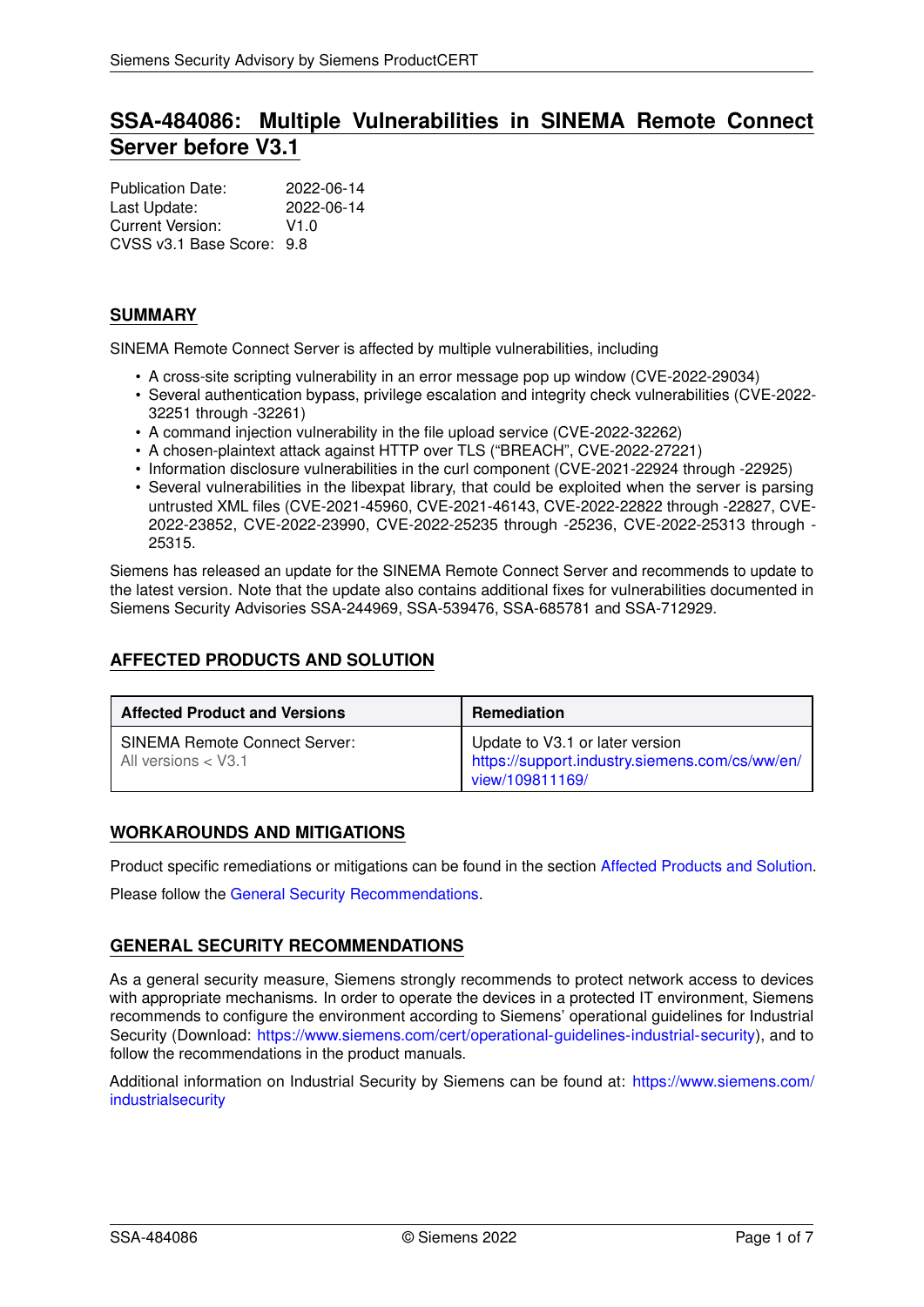# **SSA-484086: Multiple Vulnerabilities in SINEMA Remote Connect Server before V3.1**

| <b>Publication Date:</b>  | 2022-06-14 |
|---------------------------|------------|
| Last Update:              | 2022-06-14 |
| Current Version:          | V1.0       |
| CVSS v3.1 Base Score: 9.8 |            |

# **SUMMARY**

SINEMA Remote Connect Server is affected by multiple vulnerabilities, including

- A cross-site scripting vulnerability in an error message pop up window (CVE-2022-29034)
- Several authentication bypass, privilege escalation and integrity check vulnerabilities (CVE-2022- 32251 through -32261)
- A command injection vulnerability in the file upload service (CVE-2022-32262)
- A chosen-plaintext attack against HTTP over TLS ("BREACH", CVE-2022-27221)
- Information disclosure vulnerabilities in the curl component (CVE-2021-22924 through -22925)
- Several vulnerabilities in the libexpat library, that could be exploited when the server is parsing untrusted XML files (CVE-2021-45960, CVE-2021-46143, CVE-2022-22822 through -22827, CVE-2022-23852, CVE-2022-23990, CVE-2022-25235 through -25236, CVE-2022-25313 through - 25315.

Siemens has released an update for the SINEMA Remote Connect Server and recommends to update to the latest version. Note that the update also contains additional fixes for vulnerabilities documented in Siemens Security Advisories SSA-244969, SSA-539476, SSA-685781 and SSA-712929.

# <span id="page-0-0"></span>**AFFECTED PRODUCTS AND SOLUTION**

| <b>Affected Product and Versions</b>                          | <b>Remediation</b>                                                                                   |
|---------------------------------------------------------------|------------------------------------------------------------------------------------------------------|
| <b>SINEMA Remote Connect Server:</b><br>All versions $<$ V3.1 | Update to V3.1 or later version<br>https://support.industry.siemens.com/cs/ww/en/<br>view/109811169/ |

## **WORKAROUNDS AND MITIGATIONS**

Product specific remediations or mitigations can be found in the section [Affected Products and Solution.](#page-0-0)

<span id="page-0-1"></span>Please follow the [General Security Recommendations.](#page-0-1)

# **GENERAL SECURITY RECOMMENDATIONS**

As a general security measure, Siemens strongly recommends to protect network access to devices with appropriate mechanisms. In order to operate the devices in a protected IT environment, Siemens recommends to configure the environment according to Siemens' operational guidelines for Industrial Security (Download: [https://www.siemens.com/cert/operational-guidelines-industrial-security\)](https://www.siemens.com/cert/operational-guidelines-industrial-security), and to follow the recommendations in the product manuals.

Additional information on Industrial Security by Siemens can be found at: [https://www.siemens.com/](https://www.siemens.com/industrialsecurity) [industrialsecurity](https://www.siemens.com/industrialsecurity)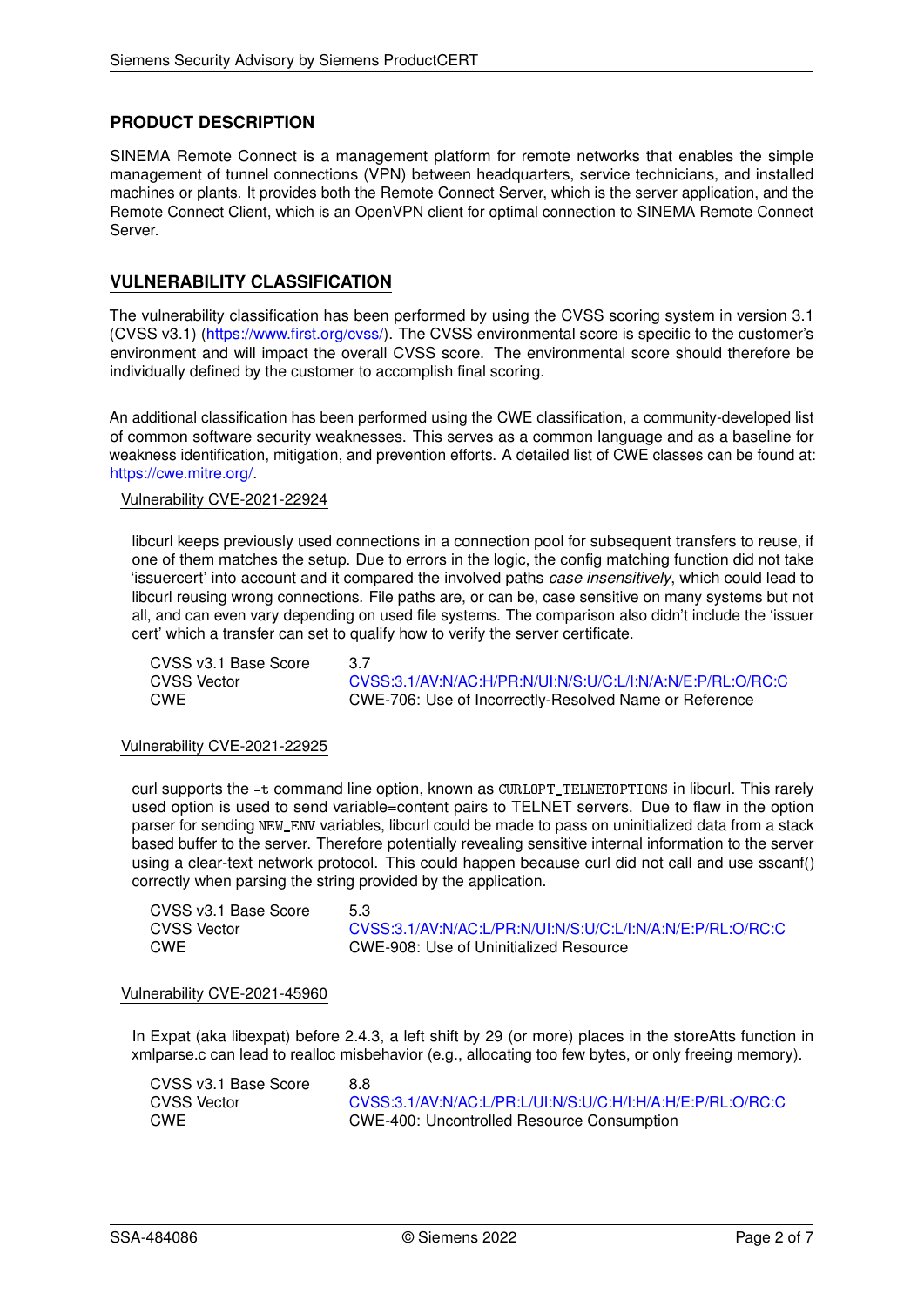# **PRODUCT DESCRIPTION**

SINEMA Remote Connect is a management platform for remote networks that enables the simple management of tunnel connections (VPN) between headquarters, service technicians, and installed machines or plants. It provides both the Remote Connect Server, which is the server application, and the Remote Connect Client, which is an OpenVPN client for optimal connection to SINEMA Remote Connect Server.

# **VULNERABILITY CLASSIFICATION**

The vulnerability classification has been performed by using the CVSS scoring system in version 3.1 (CVSS v3.1) [\(https://www.first.org/cvss/\)](https://www.first.org/cvss/). The CVSS environmental score is specific to the customer's environment and will impact the overall CVSS score. The environmental score should therefore be individually defined by the customer to accomplish final scoring.

An additional classification has been performed using the CWE classification, a community-developed list of common software security weaknesses. This serves as a common language and as a baseline for weakness identification, mitigation, and prevention efforts. A detailed list of CWE classes can be found at: [https://cwe.mitre.org/.](https://cwe.mitre.org/)

# Vulnerability CVE-2021-22924

libcurl keeps previously used connections in a connection pool for subsequent transfers to reuse, if one of them matches the setup. Due to errors in the logic, the config matching function did not take 'issuercert' into account and it compared the involved paths *case insensitively*, which could lead to libcurl reusing wrong connections. File paths are, or can be, case sensitive on many systems but not all, and can even vary depending on used file systems. The comparison also didn't include the 'issuer cert' which a transfer can set to qualify how to verify the server certificate.

CVSS v3.1 Base Score 3.7

CVSS Vector [CVSS:3.1/AV:N/AC:H/PR:N/UI:N/S:U/C:L/I:N/A:N/E:P/RL:O/RC:C](https://www.first.org/cvss/calculator/3.1#CVSS:3.1/AV:N/AC:H/PR:N/UI:N/S:U/C:L/I:N/A:N/E:P/RL:O/RC:C) CWE CWE-706: Use of Incorrectly-Resolved Name or Reference

#### Vulnerability CVE-2021-22925

curl supports the -t command line option, known as CURLOPT\_TELNETOPTIONS in libcurl. This rarely used option is used to send variable=content pairs to TELNET servers. Due to flaw in the option parser for sending NEW ENV variables, libcurl could be made to pass on uninitialized data from a stack based buffer to the server. Therefore potentially revealing sensitive internal information to the server using a clear-text network protocol. This could happen because curl did not call and use sscanf() correctly when parsing the string provided by the application.

CVSS v3.1 Base Score 5.3

CVSS Vector [CVSS:3.1/AV:N/AC:L/PR:N/UI:N/S:U/C:L/I:N/A:N/E:P/RL:O/RC:C](https://www.first.org/cvss/calculator/3.1#CVSS:3.1/AV:N/AC:L/PR:N/UI:N/S:U/C:L/I:N/A:N/E:P/RL:O/RC:C)<br>CWF CWF-908: Use of Uninitialized Resource CWE CWE-908: Use of Uninitialized Resource

#### Vulnerability CVE-2021-45960

 $\overline{a}$ 

In Expat (aka libexpat) before 2.4.3, a left shift by 29 (or more) places in the storeAtts function in xmlparse.c can lead to realloc misbehavior (e.g., allocating too few bytes, or only freeing memory).

| UVSS V3. I Base Score | 8.8                                                        |
|-----------------------|------------------------------------------------------------|
| CVSS Vector           | CVSS:3.1/AV:N/AC:L/PR:L/UI:N/S:U/C:H/I:H/A:H/E:P/RL:O/RC:C |
| CWE                   | <b>CWE-400: Uncontrolled Resource Consumption</b>          |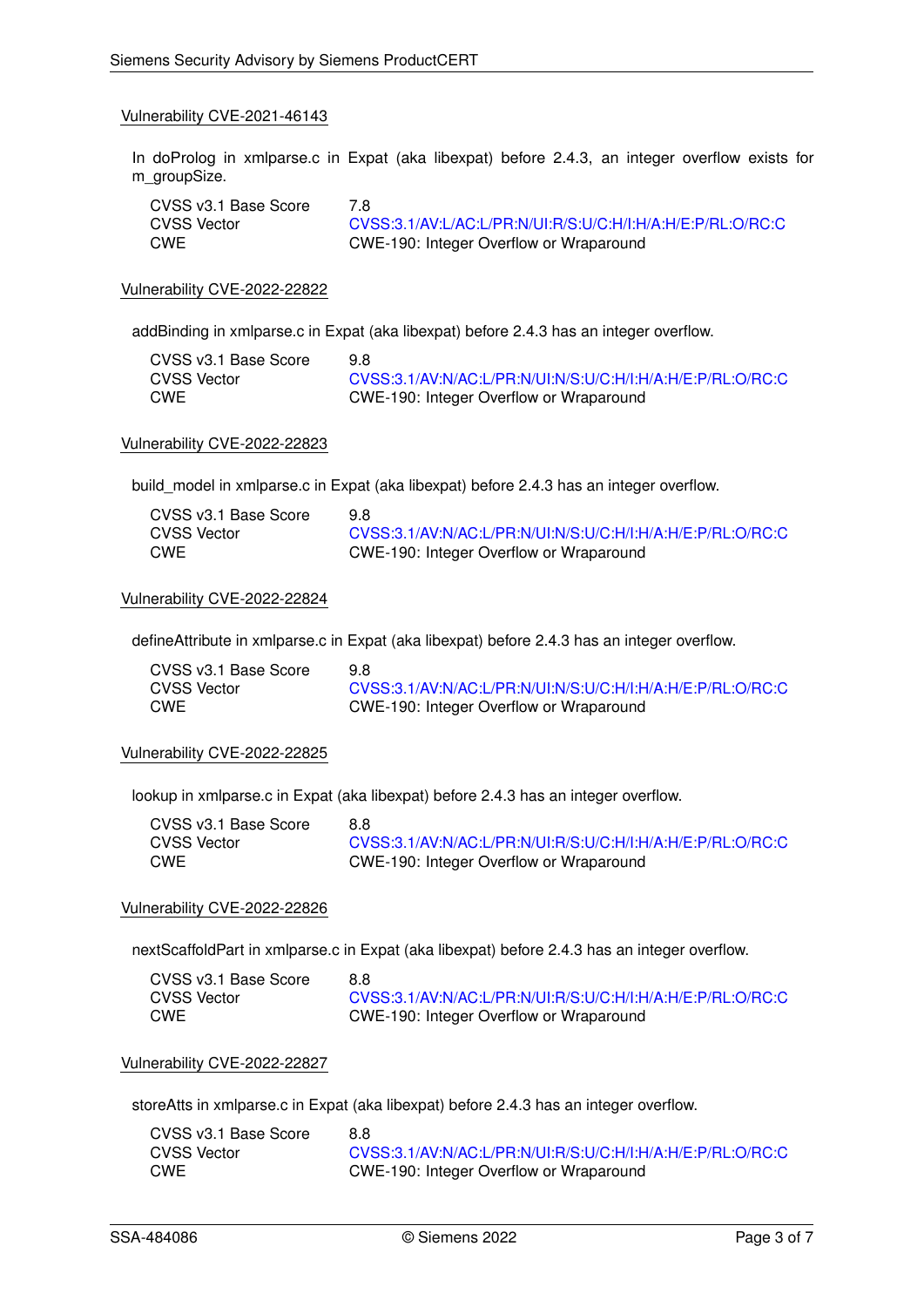In doProlog in xmlparse.c in Expat (aka libexpat) before 2.4.3, an integer overflow exists for m\_groupSize.

| CVSS v3.1 Base Score | 7.8                                                        |
|----------------------|------------------------------------------------------------|
| CVSS Vector          | CVSS:3.1/AV:L/AC:L/PR:N/UI:R/S:U/C:H/I:H/A:H/E:P/RL:O/RC:C |
| <b>CWE</b>           | CWE-190: Integer Overflow or Wraparound                    |

Vulnerability CVE-2022-22822

addBinding in xmlparse.c in Expat (aka libexpat) before 2.4.3 has an integer overflow.

| CVSS v3.1 Base Score | 98.                                                        |
|----------------------|------------------------------------------------------------|
| <b>CVSS Vector</b>   | CVSS:3.1/AV:N/AC:L/PR:N/UI:N/S:U/C:H/I:H/A:H/E:P/RL:O/RC:C |
| <b>CWE</b>           | CWE-190: Integer Overflow or Wraparound                    |

#### Vulnerability CVE-2022-22823

build model in xmlparse.c in Expat (aka libexpat) before 2.4.3 has an integer overflow.

| CVSS v3.1 Base Score | 9.8                                                        |
|----------------------|------------------------------------------------------------|
| CVSS Vector          | CVSS:3.1/AV:N/AC:L/PR:N/UI:N/S:U/C:H/I:H/A:H/E:P/RL:O/RC:C |
| CWE                  | CWE-190: Integer Overflow or Wraparound                    |

### Vulnerability CVE-2022-22824

defineAttribute in xmlparse.c in Expat (aka libexpat) before 2.4.3 has an integer overflow.

| CVSS v3.1 Base Score | 9.8                                                        |
|----------------------|------------------------------------------------------------|
| CVSS Vector          | CVSS:3.1/AV:N/AC:L/PR:N/UI:N/S:U/C:H/I:H/A:H/E:P/RL:O/RC:C |
| <b>CWE</b>           | CWE-190: Integer Overflow or Wraparound                    |

#### Vulnerability CVE-2022-22825

lookup in xmlparse.c in Expat (aka libexpat) before 2.4.3 has an integer overflow.

| CVSS v3.1 Base Score | 8.8                                                        |
|----------------------|------------------------------------------------------------|
| CVSS Vector          | CVSS:3.1/AV:N/AC:L/PR:N/UI:R/S:U/C:H/I:H/A:H/E:P/RL:O/RC:C |
| <b>CWE</b>           | CWE-190: Integer Overflow or Wraparound                    |

#### Vulnerability CVE-2022-22826

nextScaffoldPart in xmlparse.c in Expat (aka libexpat) before 2.4.3 has an integer overflow.

| CVSS v3.1 Base Score | 8.8                                                        |
|----------------------|------------------------------------------------------------|
| <b>CVSS Vector</b>   | CVSS:3.1/AV:N/AC:L/PR:N/UI:R/S:U/C:H/I:H/A:H/E:P/RL:O/RC:C |
| <b>CWE</b>           | CWE-190: Integer Overflow or Wraparound                    |

#### Vulnerability CVE-2022-22827

storeAtts in xmlparse.c in Expat (aka libexpat) before 2.4.3 has an integer overflow.

| CVSS v3.1 Base Score | 8.8                                                        |
|----------------------|------------------------------------------------------------|
| CVSS Vector          | CVSS:3.1/AV:N/AC:L/PR:N/UI:R/S:U/C:H/I:H/A:H/E:P/RL:O/RC:C |
| CWE                  | CWE-190: Integer Overflow or Wraparound                    |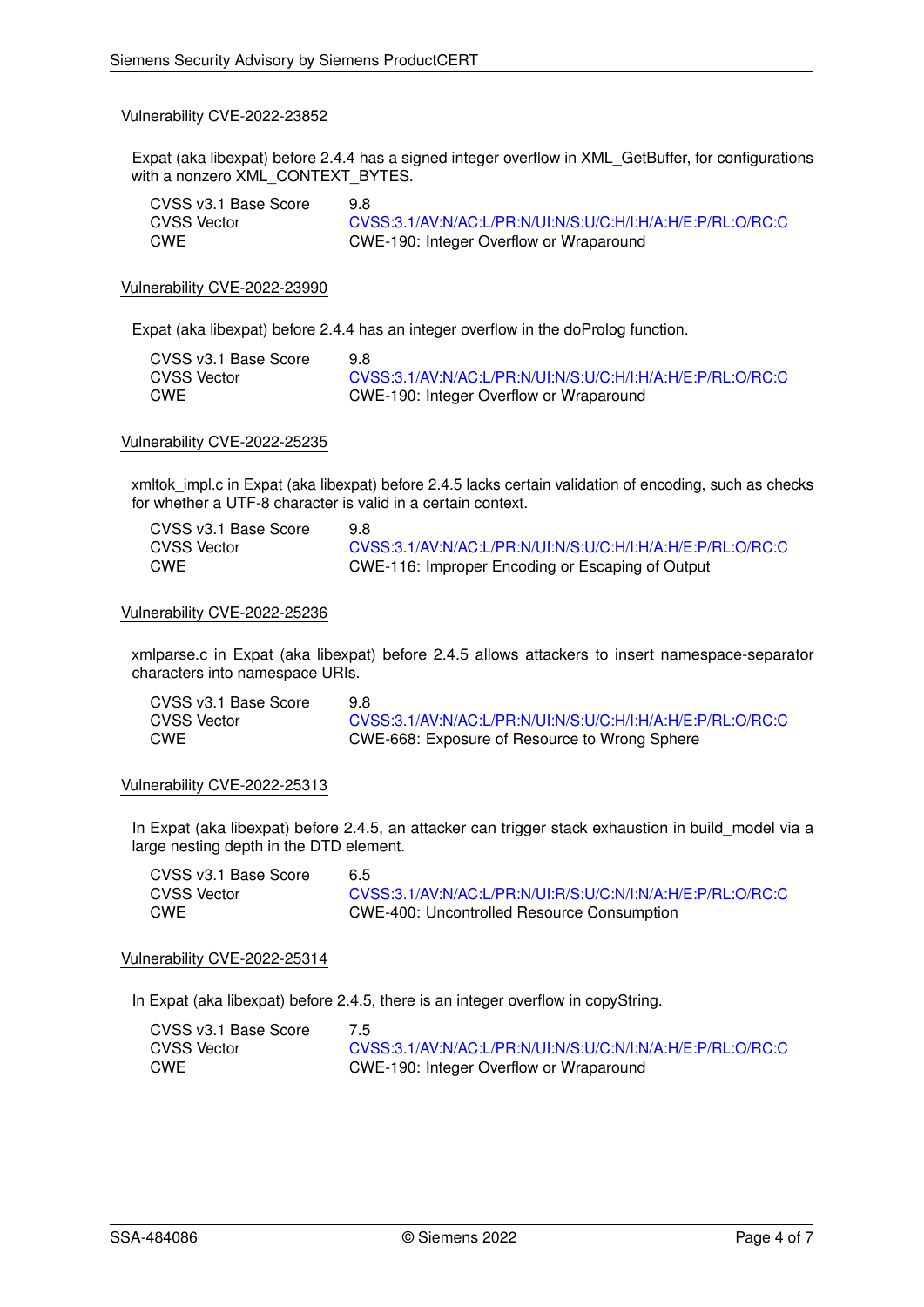Expat (aka libexpat) before 2.4.4 has a signed integer overflow in XML\_GetBuffer, for configurations with a nonzero XML\_CONTEXT\_BYTES.

| CVSS v3.1 Base Score | 9.8                                                        |
|----------------------|------------------------------------------------------------|
| <b>CVSS Vector</b>   | CVSS:3.1/AV:N/AC:L/PR:N/UI:N/S:U/C:H/I:H/A:H/E:P/RL:O/RC:C |
| <b>CWE</b>           | CWE-190: Integer Overflow or Wraparound                    |

#### Vulnerability CVE-2022-23990

Expat (aka libexpat) before 2.4.4 has an integer overflow in the doProlog function.

| CVSS v3.1 Base Score | 98                                                         |
|----------------------|------------------------------------------------------------|
| <b>CVSS Vector</b>   | CVSS:3.1/AV:N/AC:L/PR:N/UI:N/S:U/C:H/I:H/A:H/E:P/RL:O/RC:C |
| <b>CWE</b>           | CWE-190: Integer Overflow or Wraparound                    |

#### Vulnerability CVE-2022-25235

xmltok impl.c in Expat (aka libexpat) before 2.4.5 lacks certain validation of encoding, such as checks for whether a UTF-8 character is valid in a certain context.

| CVSS v3.1 Base Score | 9.8                                                        |
|----------------------|------------------------------------------------------------|
| CVSS Vector          | CVSS:3.1/AV:N/AC:L/PR:N/UI:N/S:U/C:H/I:H/A:H/E:P/RL:O/RC:C |
| CWE                  | CWE-116: Improper Encoding or Escaping of Output           |

#### Vulnerability CVE-2022-25236

xmlparse.c in Expat (aka libexpat) before 2.4.5 allows attackers to insert namespace-separator characters into namespace URIs.

| CVSS v3.1 Base Score | 9.8                                                        |
|----------------------|------------------------------------------------------------|
| <b>CVSS Vector</b>   | CVSS:3.1/AV:N/AC:L/PR:N/UI:N/S:U/C:H/I:H/A:H/E:P/RL:O/RC:C |
| <b>CWE</b>           | CWE-668: Exposure of Resource to Wrong Sphere              |

#### Vulnerability CVE-2022-25313

In Expat (aka libexpat) before 2.4.5, an attacker can trigger stack exhaustion in build\_model via a large nesting depth in the DTD element.

| CVSS v3.1 Base Score | 6.5                                                        |
|----------------------|------------------------------------------------------------|
| CVSS Vector          | CVSS:3.1/AV:N/AC:L/PR:N/UI:R/S:U/C:N/I:N/A:H/E:P/RL:O/RC:C |
| <b>CWE</b>           | <b>CWE-400: Uncontrolled Resource Consumption</b>          |

#### Vulnerability CVE-2022-25314

In Expat (aka libexpat) before 2.4.5, there is an integer overflow in copyString.

| CVSS v3.1 Base Score | 7.5                                                        |
|----------------------|------------------------------------------------------------|
| <b>CVSS Vector</b>   | CVSS:3.1/AV:N/AC:L/PR:N/UI:N/S:U/C:N/I:N/A:H/E:P/RL:O/RC:C |
| <b>CWE</b>           | CWE-190: Integer Overflow or Wraparound                    |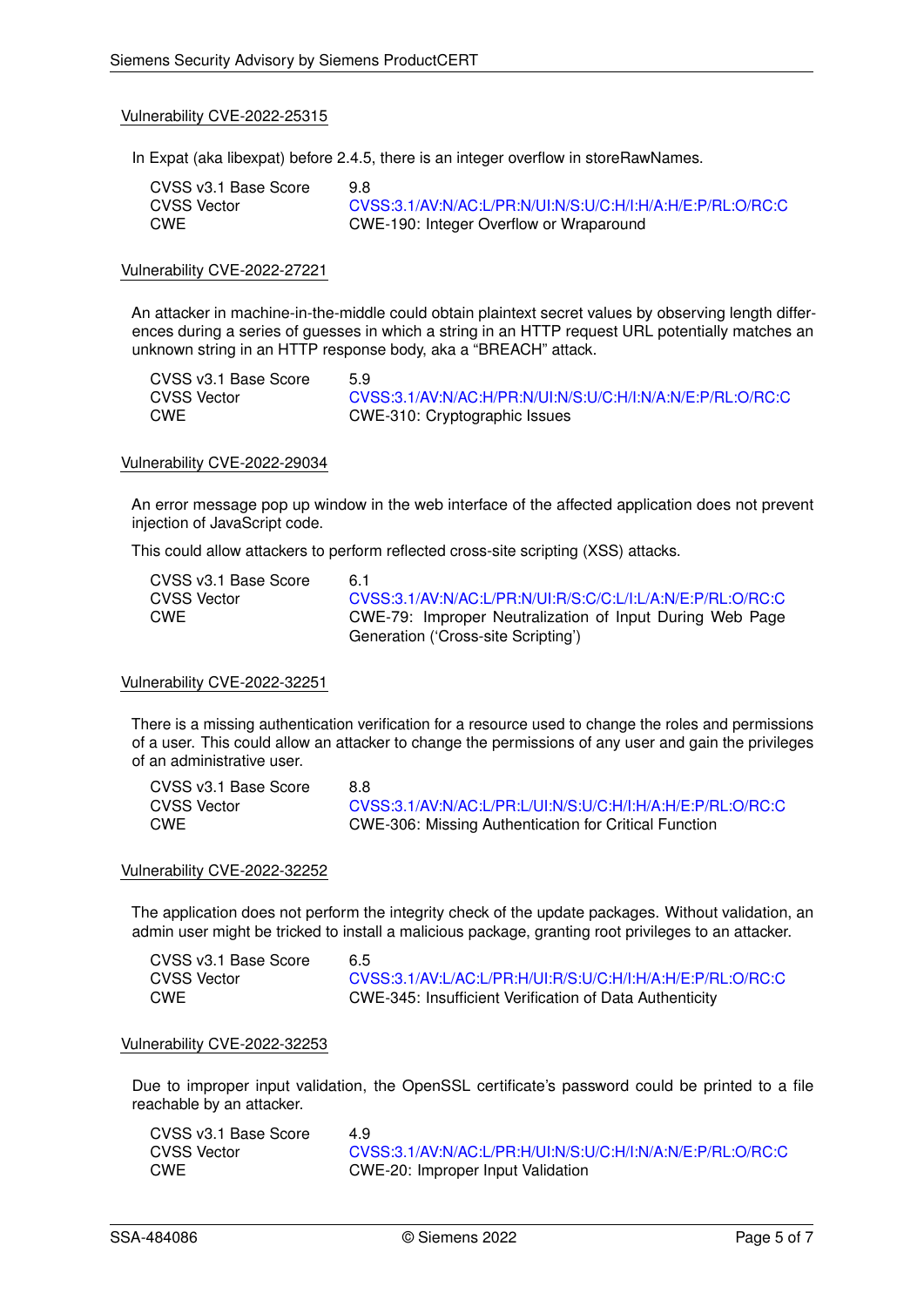In Expat (aka libexpat) before 2.4.5, there is an integer overflow in storeRawNames.

| CVSS v3.1 Base Score | 9.8                                                        |
|----------------------|------------------------------------------------------------|
| CVSS Vector          | CVSS:3.1/AV:N/AC:L/PR:N/UI:N/S:U/C:H/I:H/A:H/E:P/RL:O/RC:C |
| CWE                  | CWE-190: Integer Overflow or Wraparound                    |

#### Vulnerability CVE-2022-27221

An attacker in machine-in-the-middle could obtain plaintext secret values by observing length differences during a series of guesses in which a string in an HTTP request URL potentially matches an unknown string in an HTTP response body, aka a "BREACH" attack.

| CVSS v3.1 Base Score | 5.9                                                        |
|----------------------|------------------------------------------------------------|
| CVSS Vector          | CVSS:3.1/AV:N/AC:H/PR:N/UI:N/S:U/C:H/I:N/A:N/E:P/RL:O/RC:C |
| CWE                  | CWE-310: Cryptographic Issues                              |

# Vulnerability CVE-2022-29034

An error message pop up window in the web interface of the affected application does not prevent injection of JavaScript code.

This could allow attackers to perform reflected cross-site scripting (XSS) attacks.

| CVSS v3.1 Base Score | 61                                                         |
|----------------------|------------------------------------------------------------|
| <b>CVSS Vector</b>   | CVSS:3.1/AV:N/AC:L/PR:N/UI:R/S:C/C:L/I:L/A:N/E:P/RL:O/RC:C |
| <b>CWE</b>           | CWE-79: Improper Neutralization of Input During Web Page   |
|                      | Generation ('Cross-site Scripting')                        |

#### Vulnerability CVE-2022-32251

There is a missing authentication verification for a resource used to change the roles and permissions of a user. This could allow an attacker to change the permissions of any user and gain the privileges of an administrative user.

| CVSS v3.1 Base Score | 8.8                                                        |
|----------------------|------------------------------------------------------------|
| CVSS Vector          | CVSS:3.1/AV:N/AC:L/PR:L/UI:N/S:U/C:H/I:H/A:H/E:P/RL:O/RC:C |
| <b>CWE</b>           | CWE-306: Missing Authentication for Critical Function      |

#### Vulnerability CVE-2022-32252

The application does not perform the integrity check of the update packages. Without validation, an admin user might be tricked to install a malicious package, granting root privileges to an attacker.

| CVSS v3.1 Base Score | 6.5                                                        |
|----------------------|------------------------------------------------------------|
| CVSS Vector          | CVSS:3.1/AV:L/AC:L/PR:H/UI:R/S:U/C:H/I:H/A:H/E:P/RL:O/RC:C |
| <b>CWE</b>           | CWE-345: Insufficient Verification of Data Authenticity    |

#### Vulnerability CVE-2022-32253

Due to improper input validation, the OpenSSL certificate's password could be printed to a file reachable by an attacker.

| CVSS v3.1 Base Score | 49                                                         |
|----------------------|------------------------------------------------------------|
| CVSS Vector          | CVSS:3.1/AV:N/AC:L/PR:H/UI:N/S:U/C:H/I:N/A:N/E:P/RL:O/RC:C |
| CWE                  | CWE-20: Improper Input Validation                          |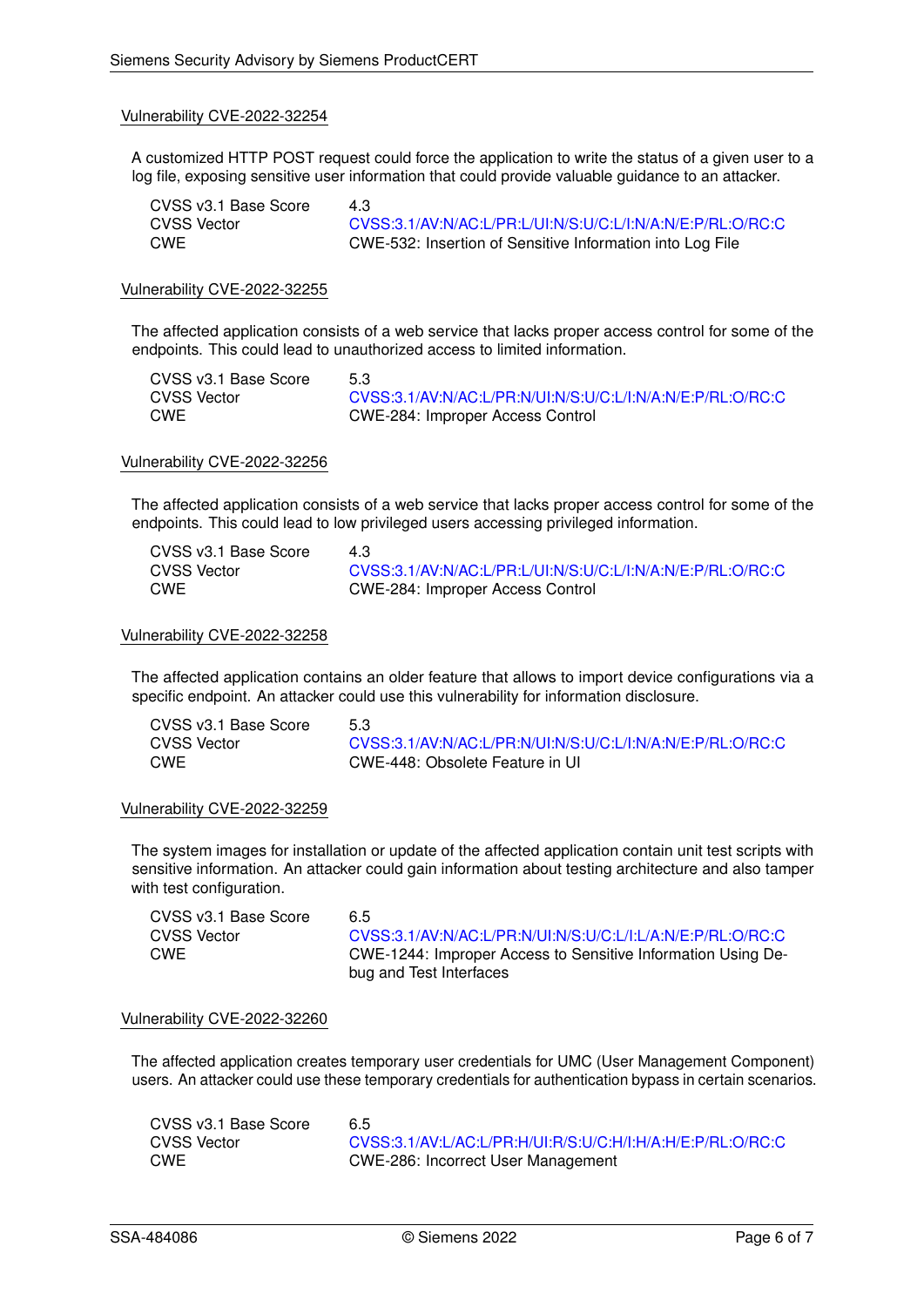A customized HTTP POST request could force the application to write the status of a given user to a log file, exposing sensitive user information that could provide valuable guidance to an attacker.

| CVSS v3.1 Base Score | 4.3                                                        |
|----------------------|------------------------------------------------------------|
| CVSS Vector          | CVSS:3.1/AV:N/AC:L/PR:L/UI:N/S:U/C:L/I:N/A:N/E:P/RL:O/RC:C |
| CWE                  | CWE-532: Insertion of Sensitive Information into Log File  |

#### Vulnerability CVE-2022-32255

The affected application consists of a web service that lacks proper access control for some of the endpoints. This could lead to unauthorized access to limited information.

| CVSS v3.1 Base Score | 5.3                                                        |
|----------------------|------------------------------------------------------------|
| CVSS Vector          | CVSS:3.1/AV:N/AC:L/PR:N/UI:N/S:U/C:L/I:N/A:N/E:P/RL:O/RC:C |
| CWE                  | CWE-284: Improper Access Control                           |

#### Vulnerability CVE-2022-32256

The affected application consists of a web service that lacks proper access control for some of the endpoints. This could lead to low privileged users accessing privileged information.

| CVSS v3.1 Base Score | 4.3                                                        |
|----------------------|------------------------------------------------------------|
| CVSS Vector          | CVSS:3.1/AV:N/AC:L/PR:L/UI:N/S:U/C:L/I:N/A:N/E:P/RL:O/RC:C |
| CWE                  | CWE-284: Improper Access Control                           |

#### Vulnerability CVE-2022-32258

The affected application contains an older feature that allows to import device configurations via a specific endpoint. An attacker could use this vulnerability for information disclosure.

| CVSS v3.1 Base Score | 5.3                                                        |
|----------------------|------------------------------------------------------------|
| CVSS Vector          | CVSS:3.1/AV:N/AC:L/PR:N/UI:N/S:U/C:L/I:N/A:N/E:P/RL:O/RC:C |
| <b>CWE</b>           | CWE-448: Obsolete Feature in UI                            |

#### Vulnerability CVE-2022-32259

The system images for installation or update of the affected application contain unit test scripts with sensitive information. An attacker could gain information about testing architecture and also tamper with test configuration.

| CVSS v3.1 Base Score | 65                                                           |
|----------------------|--------------------------------------------------------------|
| CVSS Vector          | CVSS:3.1/AV:N/AC:L/PR:N/UI:N/S:U/C:L/I:L/A:N/E:P/RL:O/RC:C   |
| CWE                  | CWE-1244: Improper Access to Sensitive Information Using De- |
|                      | bug and Test Interfaces                                      |

#### Vulnerability CVE-2022-32260

The affected application creates temporary user credentials for UMC (User Management Component) users. An attacker could use these temporary credentials for authentication bypass in certain scenarios.

| CVSS v3.1 Base Score | 6.5                                                        |
|----------------------|------------------------------------------------------------|
| CVSS Vector          | CVSS:3.1/AV:L/AC:L/PR:H/UI:R/S:U/C:H/I:H/A:H/E:P/RL:O/RC:C |
| CWE                  | CWE-286: Incorrect User Management                         |